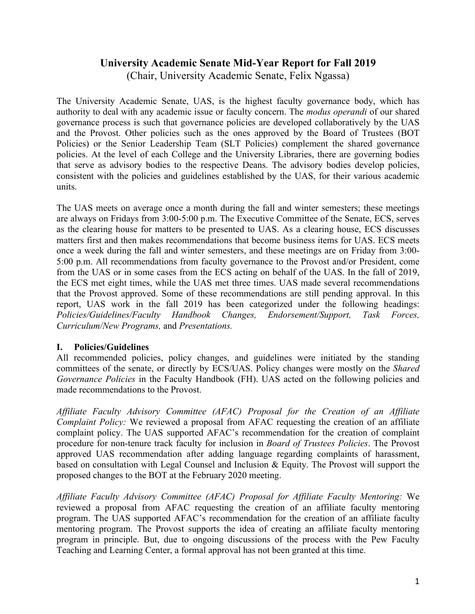# **University Academic Senate Mid-Year Report for Fall 2019** (Chair, University Academic Senate, Felix Ngassa)

The University Academic Senate, UAS, is the highest faculty governance body, which has authority to deal with any academic issue or faculty concern. The *modus operandi* of our shared governance process is such that governance policies are developed collaboratively by the UAS and the Provost. Other policies such as the ones approved by the Board of Trustees (BOT Policies) or the Senior Leadership Team (SLT Policies) complement the shared governance policies. At the level of each College and the University Libraries, there are governing bodies that serve as advisory bodies to the respective Deans. The advisory bodies develop policies, consistent with the policies and guidelines established by the UAS, for their various academic units.

The UAS meets on average once a month during the fall and winter semesters; these meetings are always on Fridays from 3:00-5:00 p.m. The Executive Committee of the Senate, ECS, serves as the clearing house for matters to be presented to UAS. As a clearing house, ECS discusses matters first and then makes recommendations that become business items for UAS. ECS meets once a week during the fall and winter semesters, and these meetings are on Friday from 3:00- 5:00 p.m. All recommendations from faculty governance to the Provost and/or President, come from the UAS or in some cases from the ECS acting on behalf of the UAS. In the fall of 2019, the ECS met eight times, while the UAS met three times. UAS made several recommendations that the Provost approved. Some of these recommendations are still pending approval. In this report, UAS work in the fall 2019 has been categorized under the following headings: *Policies/Guidelines/Faculty Handbook Changes, Endorsement/Support, Task Forces, Curriculum/New Programs,* and *Presentations.*

## **I. Policies/Guidelines**

All recommended policies, policy changes, and guidelines were initiated by the standing committees of the senate, or directly by ECS/UAS. Policy changes were mostly on the *Shared Governance Policies* in the Faculty Handbook (FH). UAS acted on the following policies and made recommendations to the Provost.

*Affiliate Faculty Advisory Committee (AFAC) Proposal for the Creation of an Affiliate Complaint Policy:* We reviewed a proposal from AFAC requesting the creation of an affiliate complaint policy. The UAS supported AFAC's recommendation for the creation of complaint procedure for non-tenure track faculty for inclusion in *Board of Trustees Policies*. The Provost approved UAS recommendation after adding language regarding complaints of harassment, based on consultation with Legal Counsel and Inclusion & Equity. The Provost will support the proposed changes to the BOT at the February 2020 meeting.

*Affiliate Faculty Advisory Committee (AFAC) Proposal for Affiliate Faculty Mentoring:* We reviewed a proposal from AFAC requesting the creation of an affiliate faculty mentoring program. The UAS supported AFAC's recommendation for the creation of an affiliate faculty mentoring program. The Provost supports the idea of creating an affiliate faculty mentoring program in principle. But, due to ongoing discussions of the process with the Pew Faculty Teaching and Learning Center, a formal approval has not been granted at this time.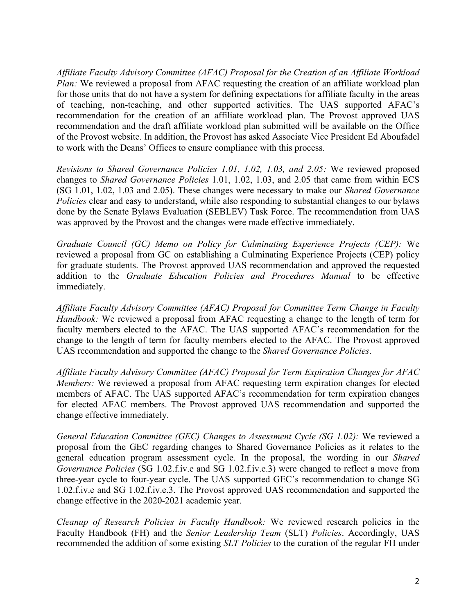*Affiliate Faculty Advisory Committee (AFAC) Proposal for the Creation of an Affiliate Workload Plan:* We reviewed a proposal from AFAC requesting the creation of an affiliate workload plan for those units that do not have a system for defining expectations for affiliate faculty in the areas of teaching, non-teaching, and other supported activities. The UAS supported AFAC's recommendation for the creation of an affiliate workload plan. The Provost approved UAS recommendation and the draft affiliate workload plan submitted will be available on the Office of the Provost website. In addition, the Provost has asked Associate Vice President Ed Aboufadel to work with the Deans' Offices to ensure compliance with this process.

*Revisions to Shared Governance Policies 1.01, 1.02, 1.03, and 2.05:* We reviewed proposed changes to *Shared Governance Policies* 1.01, 1.02, 1.03, and 2.05 that came from within ECS (SG 1.01, 1.02, 1.03 and 2.05). These changes were necessary to make our *Shared Governance Policies* clear and easy to understand, while also responding to substantial changes to our bylaws done by the Senate Bylaws Evaluation (SEBLEV) Task Force. The recommendation from UAS was approved by the Provost and the changes were made effective immediately.

*Graduate Council (GC) Memo on Policy for Culminating Experience Projects (CEP):* We reviewed a proposal from GC on establishing a Culminating Experience Projects (CEP) policy for graduate students. The Provost approved UAS recommendation and approved the requested addition to the *Graduate Education Policies and Procedures Manual* to be effective immediately.

*Affiliate Faculty Advisory Committee (AFAC) Proposal for Committee Term Change in Faculty Handbook:* We reviewed a proposal from AFAC requesting a change to the length of term for faculty members elected to the AFAC. The UAS supported AFAC's recommendation for the change to the length of term for faculty members elected to the AFAC. The Provost approved UAS recommendation and supported the change to the *Shared Governance Policies*.

*Affiliate Faculty Advisory Committee (AFAC) Proposal for Term Expiration Changes for AFAC Members:* We reviewed a proposal from AFAC requesting term expiration changes for elected members of AFAC. The UAS supported AFAC's recommendation for term expiration changes for elected AFAC members. The Provost approved UAS recommendation and supported the change effective immediately.

*General Education Committee (GEC) Changes to Assessment Cycle (SG 1.02):* We reviewed a proposal from the GEC regarding changes to Shared Governance Policies as it relates to the general education program assessment cycle. In the proposal, the wording in our *Shared Governance Policies* (SG 1.02.f.iv.e and SG 1.02.f.iv.e.3) were changed to reflect a move from three-year cycle to four-year cycle. The UAS supported GEC's recommendation to change SG 1.02.f.iv.e and SG 1.02.f.iv.e.3. The Provost approved UAS recommendation and supported the change effective in the 2020-2021 academic year.

*Cleanup of Research Policies in Faculty Handbook:* We reviewed research policies in the Faculty Handbook (FH) and the *Senior Leadership Team* (SLT) *Policies*. Accordingly, UAS recommended the addition of some existing *SLT Policies* to the curation of the regular FH under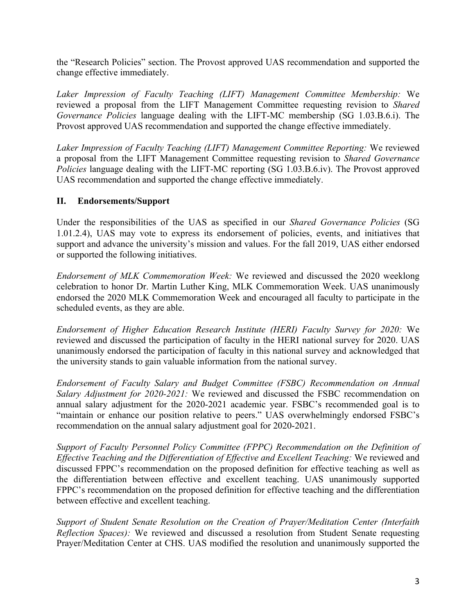the "Research Policies" section. The Provost approved UAS recommendation and supported the change effective immediately.

*Laker Impression of Faculty Teaching (LIFT) Management Committee Membership:* We reviewed a proposal from the LIFT Management Committee requesting revision to *Shared Governance Policies* language dealing with the LIFT-MC membership (SG 1.03.B.6.i). The Provost approved UAS recommendation and supported the change effective immediately.

*Laker Impression of Faculty Teaching (LIFT) Management Committee Reporting:* We reviewed a proposal from the LIFT Management Committee requesting revision to *Shared Governance Policies* language dealing with the LIFT-MC reporting (SG 1.03.B.6.iv). The Provost approved UAS recommendation and supported the change effective immediately.

## **II. Endorsements/Support**

Under the responsibilities of the UAS as specified in our *Shared Governance Policies* (SG 1.01.2.4), UAS may vote to express its endorsement of policies, events, and initiatives that support and advance the university's mission and values. For the fall 2019, UAS either endorsed or supported the following initiatives.

*Endorsement of MLK Commemoration Week:* We reviewed and discussed the 2020 weeklong celebration to honor Dr. Martin Luther King, MLK Commemoration Week. UAS unanimously endorsed the 2020 MLK Commemoration Week and encouraged all faculty to participate in the scheduled events, as they are able.

*Endorsement of Higher Education Research Institute (HERI) Faculty Survey for 2020:* We reviewed and discussed the participation of faculty in the HERI national survey for 2020. UAS unanimously endorsed the participation of faculty in this national survey and acknowledged that the university stands to gain valuable information from the national survey.

*Endorsement of Faculty Salary and Budget Committee (FSBC) Recommendation on Annual Salary Adjustment for 2020-2021:* We reviewed and discussed the FSBC recommendation on annual salary adjustment for the 2020-2021 academic year. FSBC's recommended goal is to "maintain or enhance our position relative to peers." UAS overwhelmingly endorsed FSBC's recommendation on the annual salary adjustment goal for 2020-2021.

*Support of Faculty Personnel Policy Committee (FPPC) Recommendation on the Definition of Effective Teaching and the Differentiation of Effective and Excellent Teaching:* We reviewed and discussed FPPC's recommendation on the proposed definition for effective teaching as well as the differentiation between effective and excellent teaching. UAS unanimously supported FPPC's recommendation on the proposed definition for effective teaching and the differentiation between effective and excellent teaching.

*Support of Student Senate Resolution on the Creation of Prayer/Meditation Center (Interfaith Reflection Spaces):* We reviewed and discussed a resolution from Student Senate requesting Prayer/Meditation Center at CHS. UAS modified the resolution and unanimously supported the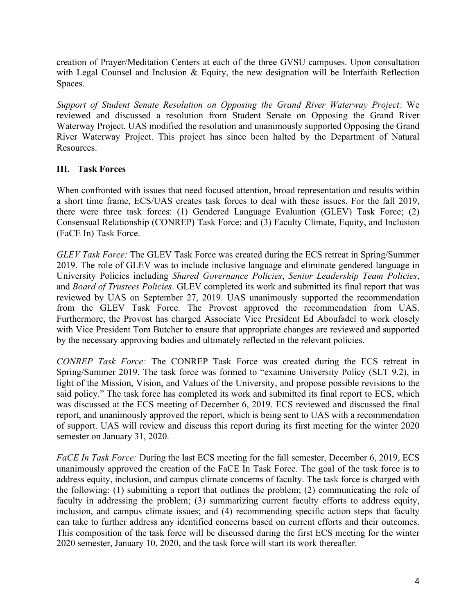creation of Prayer/Meditation Centers at each of the three GVSU campuses. Upon consultation with Legal Counsel and Inclusion & Equity, the new designation will be Interfaith Reflection Spaces.

*Support of Student Senate Resolution on Opposing the Grand River Waterway Project:* We reviewed and discussed a resolution from Student Senate on Opposing the Grand River Waterway Project. UAS modified the resolution and unanimously supported Opposing the Grand River Waterway Project. This project has since been halted by the Department of Natural Resources.

## **III. Task Forces**

When confronted with issues that need focused attention, broad representation and results within a short time frame, ECS/UAS creates task forces to deal with these issues. For the fall 2019, there were three task forces: (1) Gendered Language Evaluation (GLEV) Task Force; (2) Consensual Relationship (CONREP) Task Force; and (3) Faculty Climate, Equity, and Inclusion (FaCE In) Task Force.

*GLEV Task Force:* The GLEV Task Force was created during the ECS retreat in Spring/Summer 2019. The role of GLEV was to include inclusive language and eliminate gendered language in University Policies including *Shared Governance Policies*, *Senior Leadership Team Policies*, and *Board of Trustees Policies*. GLEV completed its work and submitted its final report that was reviewed by UAS on September 27, 2019. UAS unanimously supported the recommendation from the GLEV Task Force. The Provost approved the recommendation from UAS. Furthermore, the Provost has charged Associate Vice President Ed Aboufadel to work closely with Vice President Tom Butcher to ensure that appropriate changes are reviewed and supported by the necessary approving bodies and ultimately reflected in the relevant policies.

*CONREP Task Force:* The CONREP Task Force was created during the ECS retreat in Spring/Summer 2019. The task force was formed to "examine University Policy (SLT 9.2), in light of the Mission, Vision, and Values of the University, and propose possible revisions to the said policy." The task force has completed its work and submitted its final report to ECS, which was discussed at the ECS meeting of December 6, 2019. ECS reviewed and discussed the final report, and unanimously approved the report, which is being sent to UAS with a recommendation of support. UAS will review and discuss this report during its first meeting for the winter 2020 semester on January 31, 2020.

*FaCE In Task Force:* During the last ECS meeting for the fall semester, December 6, 2019, ECS unanimously approved the creation of the FaCE In Task Force. The goal of the task force is to address equity, inclusion, and campus climate concerns of faculty. The task force is charged with the following: (1) submitting a report that outlines the problem; (2) communicating the role of faculty in addressing the problem; (3) summarizing current faculty efforts to address equity, inclusion, and campus climate issues; and (4) recommending specific action steps that faculty can take to further address any identified concerns based on current efforts and their outcomes. This composition of the task force will be discussed during the first ECS meeting for the winter 2020 semester, January 10, 2020, and the task force will start its work thereafter.